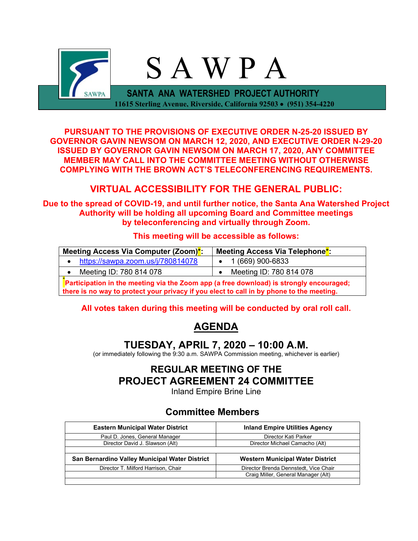

**PURSUANT TO THE PROVISIONS OF EXECUTIVE ORDER N-25-20 ISSUED BY GOVERNOR GAVIN NEWSOM ON MARCH 12, 2020, AND EXECUTIVE ORDER N-29-20 ISSUED BY GOVERNOR GAVIN NEWSOM ON MARCH 17, 2020, ANY COMMITTEE MEMBER MAY CALL INTO THE COMMITTEE MEETING WITHOUT OTHERWISE COMPLYING WITH THE BROWN ACT'S TELECONFERENCING REQUIREMENTS.**

# **VIRTUAL ACCESSIBILITY FOR THE GENERAL PUBLIC:**

**Due to the spread of COVID-19, and until further notice, the Santa Ana Watershed Project Authority will be holding all upcoming Board and Committee meetings by teleconferencing and virtually through Zoom.**

#### **This meeting will be accessible as follows:**

| Meeting Access Via Computer (Zoom) <sup>*</sup> :                                       | Meeting Access Via Telephone <sup>*</sup> : |  |
|-----------------------------------------------------------------------------------------|---------------------------------------------|--|
| https://sawpa.zoom.us/j/780814078                                                       | 1 (669) 900-6833                            |  |
| Meeting ID: 780 814 078                                                                 | Meeting ID: 780 814 078                     |  |
| Participation in the meeting via the Zoom app (a free download) is strongly encouraged; |                                             |  |

**there is no way to protect your privacy if you elect to call in by phone to the meeting.**

## **All votes taken during this meeting will be conducted by oral roll call.**

# **AGENDA**

## **TUESDAY, APRIL 7, 2020 – 10:00 A.M.**

(or immediately following the 9:30 a.m. SAWPA Commission meeting, whichever is earlier)

# **REGULAR MEETING OF THE PROJECT AGREEMENT 24 COMMITTEE**

Inland Empire Brine Line

## **Committee Members**

| <b>Eastern Municipal Water District</b>        | <b>Inland Empire Utilities Agency</b>   |  |  |
|------------------------------------------------|-----------------------------------------|--|--|
| Paul D. Jones, General Manager                 | Director Kati Parker                    |  |  |
| Director David J. Slawson (Alt)                | Director Michael Camacho (Alt)          |  |  |
|                                                |                                         |  |  |
| San Bernardino Valley Municipal Water District | <b>Western Municipal Water District</b> |  |  |
| Director T. Milford Harrison, Chair            | Director Brenda Dennstedt, Vice Chair   |  |  |
|                                                | Craig Miller, General Manager (Alt)     |  |  |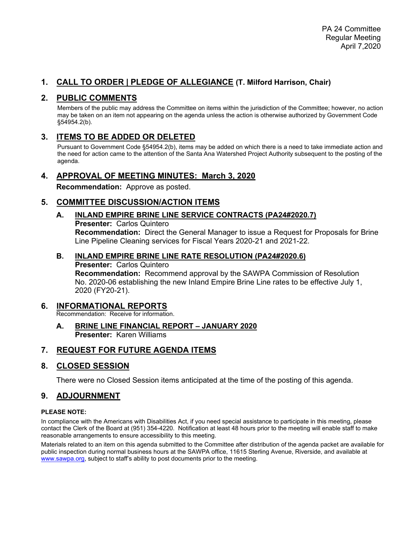## **1. CALL TO ORDER | PLEDGE OF ALLEGIANCE (T. Milford Harrison, Chair)**

## **2. PUBLIC COMMENTS**

Members of the public may address the Committee on items within the jurisdiction of the Committee; however, no action may be taken on an item not appearing on the agenda unless the action is otherwise authorized by Government Code §54954.2(b).

## **3. ITEMS TO BE ADDED OR DELETED**

Pursuant to Government Code §54954.2(b), items may be added on which there is a need to take immediate action and the need for action came to the attention of the Santa Ana Watershed Project Authority subsequent to the posting of the agenda.

#### **4. APPROVAL OF MEETING MINUTES: March 3, 2020**

**Recommendation:** Approve as posted.

### **5. COMMITTEE DISCUSSION/ACTION ITEMS**

**A. INLAND EMPIRE BRINE LINE SERVICE CONTRACTS (PA24#2020.7) Presenter:** Carlos Quintero **Recommendation:** Direct the General Manager to issue a Request for Proposals for Brine Line Pipeline Cleaning services for Fiscal Years 2020-21 and 2021-22.

#### **B. INLAND EMPIRE BRINE LINE RATE RESOLUTION (PA24#2020.6)**

**Presenter:** Carlos Quintero **Recommendation:** Recommend approval by the SAWPA Commission of Resolution No. 2020-06 establishing the new Inland Empire Brine Line rates to be effective July 1, 2020 (FY20-21).

#### **6. INFORMATIONAL REPORTS**

Recommendation: Receive for information.

**A. BRINE LINE FINANCIAL REPORT – JANUARY 2020 Presenter:** Karen Williams

### **7. REQUEST FOR FUTURE AGENDA ITEMS**

### **8. CLOSED SESSION**

There were no Closed Session items anticipated at the time of the posting of this agenda.

### **9. ADJOURNMENT**

#### **PLEASE NOTE:**

In compliance with the Americans with Disabilities Act, if you need special assistance to participate in this meeting, please contact the Clerk of the Board at (951) 354-4220. Notification at least 48 hours prior to the meeting will enable staff to make reasonable arrangements to ensure accessibility to this meeting.

Materials related to an item on this agenda submitted to the Committee after distribution of the agenda packet are available for public inspection during normal business hours at the SAWPA office, 11615 Sterling Avenue, Riverside, and available at [www.sawpa.org,](http://www.sawpa.org/) subject to staff's ability to post documents prior to the meeting.